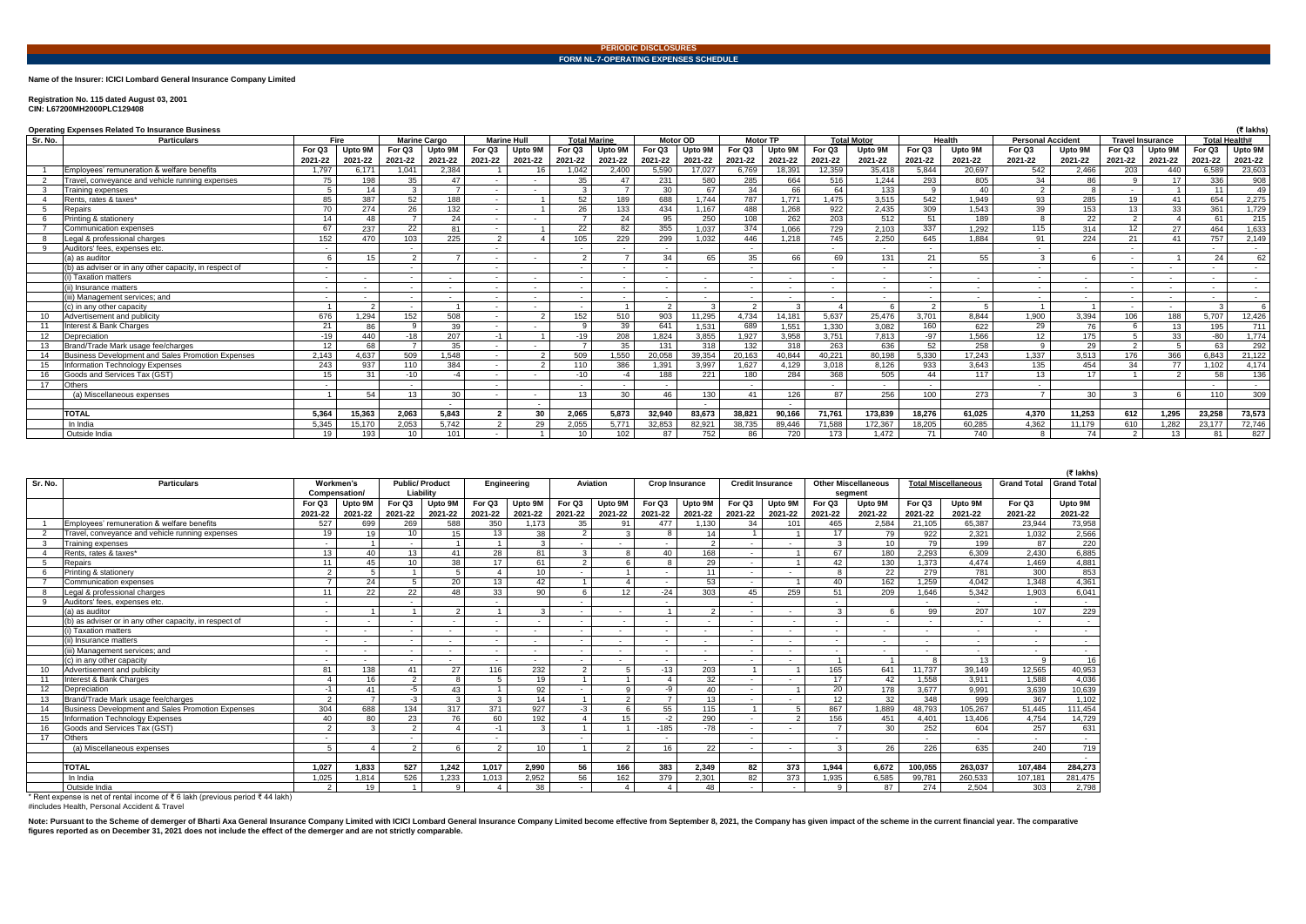**Name of the Insurer: ICICI Lombard General Insurance Company Limited**

## **Registration No. 115 dated August 03, 2001 CIN: L67200MH2000PLC129408**

Note: Pursuant to the Scheme of demerger of Bharti Axa General Insurance Company Limited with ICICI Lombard General Insurance Company Limited with ICICI Lombard General Insurance Company Limited become effective from Septe **figures reported as on December 31, 2021 does not include the effect of the demerger and are not strictly comparable.**

|         | <b>Operating Expenses Related To Insurance Business</b> |                          |         |              |                          |                          |                    |                     |         |                          |         |         |                 | (₹ lakhs                 |                    |               |         |                          |                          |                          |         |                          |         |
|---------|---------------------------------------------------------|--------------------------|---------|--------------|--------------------------|--------------------------|--------------------|---------------------|---------|--------------------------|---------|---------|-----------------|--------------------------|--------------------|---------------|---------|--------------------------|--------------------------|--------------------------|---------|--------------------------|---------|
| Sr. No. | <b>Particulars</b>                                      | Fire                     |         |              | <b>Marine Cargo</b>      |                          | <b>Marine Hull</b> | <b>Total Marine</b> |         | <b>Motor OD</b>          |         |         | <b>Motor TP</b> |                          | <b>Total Motor</b> |               | Health  | <b>Personal Accident</b> |                          | <b>Travel Insurance</b>  |         | Total Health#            |         |
|         |                                                         | For Q3                   | Upto 9M | For Q3       | Upto 9M                  | For Q3                   | Upto 9M            | For Q3              | Upto 9M | For Q3                   | Upto 9M | For Q3  | Upto 9M         | For Q3                   | Upto 9M            | For Q3        | Upto 9M | For Q3                   | Upto 9M                  | For Q3                   | Upto 9M | For Q3                   | Upto 9M |
|         |                                                         | 2021-22                  | 2021-22 | 2021-22      | 2021-22                  | 2021-22                  | 2021-22            | 2021-22             | 2021-22 | 2021-22                  | 2021-22 | 2021-22 | 2021-22         | 2021-22                  | 2021-22            | 2021-22       | 2021-22 | 2021-22                  | 2021-22                  | 2021-22                  | 2021-22 | 2021-22                  | 2021-22 |
|         | Emplovees' remuneration & welfare benefits              | 1,797                    | 6.171   | 1.041        | 2.384                    |                          |                    | 1,042               | 2.400   | 5.590                    | 17,027  | 6.769   | 18,391          | 12.359                   | 35.418             | 5.844         | 20.697  | 542                      | 2.466                    | 203                      | 440     | 6.589                    | 23,603  |
|         | Travel, conveyance and vehicle running expenses         | 75                       | 198     | 35           | 47                       |                          |                    | 35                  | 47      | 231                      | 580     | 285     | 664             | 516                      | 1.244              | 293           | 805     | 34                       | 86                       |                          | 17      | 336                      | 908     |
|         | Training expenses                                       | -5                       | 14      | $\mathbf{3}$ |                          |                          |                    | 3                   |         | 30                       | 67      | 34      | 66              | 64                       | 133                | -9            | 40      | $\mathcal{P}$            |                          | $\sim$                   |         | $-11$                    | 49      |
|         | Rents, rates & taxes*                                   | 85                       | 387     | 52           | 188                      |                          |                    | 52                  | 189     | 688                      | 1.744   | 787     | 1.771           | 1.475                    | 3.515              | 542           | 1.949   | 93                       | 285                      | 19                       | 41      | 654                      | 2,275   |
|         | Repairs                                                 | 70                       | 274     | 26           | 132                      |                          |                    | 26                  | 133     | 434                      | 1,167   | 488     | 1.268           | 922                      | 2,435              | 309           | 1.543   | 39                       | 153                      | 13                       | 33      | 361                      | 1,729   |
|         | Printing & stationery                                   | 14                       | 48      |              | 24                       |                          |                    |                     | 24      | 95                       | 250     | 108     | 262             | 203                      | 512                | 51            | 189     | <b>R</b>                 | 22                       | $\mathcal{L}$            |         | 61                       | 215     |
|         | Communication expenses                                  | 67                       | 237     | 22           | 81                       |                          |                    | 22                  | 82      | 355                      | 1.037   | 374     | 1.066           | 729                      | 2.103              | 337           | 1.292   | 115                      | 314                      | 12                       | 27      | 464                      | 1,633   |
|         | Legal & professional charges                            | 152                      | 470     | 103          | 225                      | $\overline{2}$           |                    | 105                 | 229     | 299                      | 1,032   | 446     | 1.218           | 745                      | 2,250              | 645           | 1,884   | 91                       | 224                      | 21                       | 41      | 757                      | 2,149   |
|         | Auditors' fees, expenses etc                            |                          |         |              |                          |                          |                    |                     |         |                          |         |         |                 |                          |                    |               |         |                          |                          |                          |         | $\overline{\phantom{a}}$ | $\sim$  |
|         | (a) as auditor                                          | -6                       |         |              |                          |                          |                    | $\overline{2}$      |         | 34                       | 65      | 35      | 66              | 69                       | 131                | 21            | 55      |                          |                          | $\overline{\phantom{a}}$ |         | 24                       | 62      |
|         | (b) as adviser or in any other capacity, in respect of  | $\sim$                   |         |              |                          |                          |                    | $\sim$              |         | $\overline{\phantom{a}}$ |         |         |                 | $\overline{\phantom{a}}$ | $\sim$             | $\sim$        |         |                          |                          | $\sim$                   |         | $\sim$                   | $\sim$  |
|         | (i) Taxation matters                                    | $\overline{\phantom{a}}$ | $\sim$  |              |                          | $\overline{\phantom{a}}$ |                    | $\sim$              |         | $\overline{\phantom{a}}$ |         |         |                 | $\overline{\phantom{a}}$ |                    | $\sim$        | $\sim$  |                          |                          | $\sim$                   |         | $\sim$                   | $\sim$  |
|         | (ii) Insurance matters                                  | $\overline{\phantom{a}}$ | $\sim$  |              | $\overline{\phantom{a}}$ |                          | $\sim$             |                     |         | $\overline{\phantom{a}}$ |         |         | $\sim$          | $\overline{\phantom{a}}$ | $\sim$             | $\sim$        | $\sim$  | $\sim$                   | $\overline{\phantom{a}}$ | $\sim$                   |         | $\overline{\phantom{a}}$ | $\sim$  |
|         | (iii) Management services: and                          | $\sim$                   | $\sim$  |              | $\sim$                   | $\overline{a}$           | $\sim$             | $\sim$              |         | $\sim$                   | $\sim$  |         | $\sim$          | $\overline{\phantom{a}}$ | $\sim$             | $\sim$        | $\sim$  | $\overline{a}$           | $\overline{\phantom{a}}$ | $\sim$                   | $\sim$  | $\sim$                   | $\sim$  |
|         | (c) in any other capacity                               |                          |         |              |                          |                          |                    | $\sim$              |         | $\overline{2}$           | ્વ      | ົ       |                 |                          |                    | $\mathcal{P}$ | -5      |                          |                          | $\sim$                   |         |                          |         |
|         | Advertisement and publicity                             | 676                      | 1.294   | 152          | 508                      |                          |                    | 152                 | 510     | 903                      | 11,295  | 4,734   | 14.181          | 5.637                    | 25.476             | 3,701         | 8.844   | 1,900                    | 3,394                    | 106                      | 188     | 5.707                    | 12,426  |
|         | nterest & Bank Charges                                  | 21                       | 86      | $\alpha$     | 39                       |                          |                    | <b>Q</b>            | 39      | 641                      | 1.531   | 689     | 1.551           | 1.330                    | 3.082              | 160           | 622     | 29                       | 76                       |                          | 13      | 195                      | 711     |
| 12      | Depreciation                                            | $-19$                    | 440     | $-18$        | 207                      | $-1$                     |                    | $-19$               | 208     | 1.824                    | 3,855   | 1,927   | 3,958           | 3,751                    | 7,813              | -97           | 1.566   | 12                       | 175                      |                          | 33      | -80                      | 1.774   |
|         | Brand/Trade Mark usage fee/charges                      | 12                       | 68      |              | 35                       |                          |                    | $\overline{7}$      | 35      | 131                      | 318     | 132     | 318             | 263                      | 636                | 52            | 258     | $\Omega$                 | 29                       | $\mathcal{L}$            |         | 63                       | 292     |
| 14      | Business Development and Sales Promotion Expenses       | 2.143                    | 4,637   | 509          | 1,548                    |                          |                    | 509                 | 1.550   | 20.058                   | 39,354  | 20.163  | 40,844          | 40,221                   | 80,198             | 5,330         | 17.243  | 1.337                    | 3,513                    | 176                      | 366     | 6,843                    | 21,122  |
| 15      | Information Technology Expenses                         | 243                      | 937     | 110          | 384                      |                          |                    | 110                 | 386     | 1,391                    | 3,997   | 1.627   | 4.129           | 3,018                    | 8,126              | 933           | 3.643   | 135                      | 454                      | 34                       | 77      | 1.102                    | 4.174   |
|         | Goods and Services Tax (GST)                            | 15                       | 31      | $-10$        |                          |                          |                    | $-10$               |         | 188                      | 221     | 180     | 284             | 368                      | 505                | 44            | 117     | 13                       | 17                       |                          |         | 58                       | 136     |
| 17      | Others                                                  | $\sim$                   |         |              |                          |                          |                    | $\sim$              |         | $\sim$                   |         |         |                 | $\overline{a}$           |                    | $\sim$        |         |                          |                          |                          |         | $\sim$                   | $\sim$  |
|         | (a) Miscellaneous expenses                              |                          | 54      | 13           | 30                       |                          |                    | 13                  | 30      | 46                       | 130     | 41      | 126             | 87                       | 256                | 100           | 273     | $\overline{ }$           | 30                       | $\sim$                   |         | 110                      | 309     |
|         |                                                         |                          |         |              | $\overline{\phantom{a}}$ |                          |                    |                     |         |                          |         |         |                 |                          |                    |               |         |                          |                          |                          |         |                          |         |
|         | <b>TOTAL</b>                                            | 5.364                    | 15,363  | 2.063        | 5,843                    | $\overline{2}$           | 30                 | 2.065               | 5,873   | 32.940                   | 83.673  | 38,821  | 90,166          | 71.761                   | 173,839            | 18.276        | 61.025  | 4,370                    | 11,253                   | 612                      | 1.295   | 23.258                   | 73,573  |
|         | In India                                                | 5,345                    | 15,170  | 2,053        | 5.742                    | $\overline{2}$           | 29                 | 2,055               | 5.771   | 32,853                   | 82,92   | 38,735  | 89,446          | 71,588                   | 172,367            | 18,205        | 60,285  | 4,362                    | 11,179                   | 610                      | 1,282   | 23,177                   | 72,746  |
|         | Outside India                                           | 19                       | 193     | 10           | 101                      |                          |                    | 10                  | 102     | 87                       | 752     | 86      | 720             | 173                      | 1.472              | 71            | 740     | $\mathbf{R}$             | 74                       | $\mathcal{D}$            | 13      | 81                       | 827     |

|              |                                                                                              |                          |                 |                 |                          |                          |                   |                          |                          |                          |                       |                          |                          |                |                            |                          |                            |                          | $($ ₹ lakhs)       |
|--------------|----------------------------------------------------------------------------------------------|--------------------------|-----------------|-----------------|--------------------------|--------------------------|-------------------|--------------------------|--------------------------|--------------------------|-----------------------|--------------------------|--------------------------|----------------|----------------------------|--------------------------|----------------------------|--------------------------|--------------------|
| Sr. No.      | <b>Particulars</b>                                                                           | Workmen's                |                 |                 | <b>Public/Product</b>    | Engineering              |                   | <b>Aviation</b>          |                          |                          | <b>Crop Insurance</b> |                          | <b>Credit Insurance</b>  |                | <b>Other Miscellaneous</b> |                          | <b>Total Miscellaneous</b> | <b>Grand Total</b>       | <b>Grand Total</b> |
|              |                                                                                              | Compensation/            |                 |                 | Liability                |                          |                   |                          |                          |                          |                       |                          |                          | segment        |                            |                          |                            |                          |                    |
|              |                                                                                              | For Q3                   | Upto 9M         | For Q3          | Upto 9M                  | For Q3                   | Upto 9M           | For Q3                   | Upto 9M                  | For Q3                   | Upto 9M               | For Q3                   | Upto 9M                  | For Q3         | Upto 9M                    | For Q3                   | Upto 9M                    | For Q3                   | Upto 9M            |
|              |                                                                                              | 2021-22                  | 2021-22         | 2021-22         | 2021-22                  | 2021-22                  | 2021-22           | 2021-22                  | 2021-22                  | 2021-22                  | 2021-22               | 2021-22                  | 2021-22                  | 2021-22        | 2021-22                    | 2021-22                  | 2021-22                    | 2021-22                  | 2021-22            |
|              | Employees' remuneration & welfare benefits                                                   | 527                      | 699             | 269             | 588                      | 350                      | 1,173             | 35                       | 91                       | 477                      | 1,130                 | 34                       | 101                      | 465            | 2,584                      | 21,105                   | 65,387                     | 23,944                   | 73,958             |
| 2            | Travel, convevance and vehicle running expenses                                              | 19                       | 19              | 10              | 15                       | 13                       | 38                |                          | $\mathbf{r}$             |                          | 14                    |                          |                          | 17             | 79                         | 922                      | 2,321                      | 1,032                    | 2,566              |
| $\mathbf{3}$ | <b>Training expenses</b>                                                                     | $\sim$                   |                 |                 |                          |                          | $\mathcal{R}$     |                          |                          |                          |                       | $\overline{\phantom{a}}$ |                          | 3              | 10 <sup>1</sup>            | 79                       | 199                        | 87                       | 220                |
|              | Rents, rates & taxes*                                                                        | 13                       | 40              | 13              | 41                       | 28                       | 81                | $\mathcal{B}$            | R                        | 40                       | 168                   | $\overline{a}$           |                          | 67             | 180                        | 2.293                    | 6.309                      | 2,430                    | 6,885              |
| 5            | Repairs                                                                                      | 11                       | 45              | 10 <sup>°</sup> | 38                       | 17                       | 61                | $\Omega$                 |                          | 8                        | 29                    | $\overline{\phantom{a}}$ |                          | 42             | 130                        | 1,373                    | 4.474                      | 1,469                    | 4,881              |
| 6            | Printing & stationery                                                                        | 2                        | $5\overline{5}$ |                 | 5                        |                          | 10                |                          |                          | $\overline{\phantom{a}}$ | 11                    | $\sim$                   | $\sim$                   | 8              | $\overline{22}$            | 279                      | 781                        | 300                      | 853                |
|              | Communication expenses                                                                       | $\overline{ }$           | 24              |                 | 20                       | 13                       | 42                |                          |                          |                          | 53                    | $\overline{\phantom{a}}$ |                          | 40             | 162                        | 1,259                    | 4,042                      | 1,348                    | 4,361              |
|              | Legal & professional charges                                                                 | 11                       | 22              | 22              | 48                       | 33                       | 90                |                          | 12                       | $-24$                    | 303                   | 45                       | 259                      | 51             | 209                        | 1.646                    | 5,342                      | 1,903                    | 6,041              |
| 9            | Auditors' fees, expenses etc.                                                                |                          |                 |                 |                          |                          |                   |                          |                          |                          |                       |                          |                          | $\sim$         |                            |                          | $\sim$                     | $\sim$                   | $\sim$             |
|              | (a) as auditor                                                                               | $\sim$                   |                 |                 | 2                        |                          | $\mathbf{\Omega}$ | $\overline{\phantom{a}}$ | $\overline{\phantom{a}}$ |                          |                       | $\overline{\phantom{a}}$ | $\overline{\phantom{a}}$ | 3              | 6                          | 99                       | 207                        | 107                      | 229                |
|              | (b) as adviser or in any other capacity, in respect of                                       | $\sim$                   |                 |                 |                          |                          |                   | $\overline{\phantom{a}}$ |                          | . .                      | $\sim$                | $\overline{\phantom{a}}$ | $\overline{\phantom{a}}$ | $\sim$         |                            |                          | $\overline{a}$             | $\overline{\phantom{a}}$ | $\sim$             |
|              | i) Taxation matters                                                                          | $\overline{\phantom{a}}$ |                 | $\sim$          | $\overline{\phantom{a}}$ | $\overline{\phantom{a}}$ | $\sim$            | $\overline{\phantom{a}}$ | $\overline{\phantom{a}}$ | $\overline{\phantom{a}}$ | $\sim$                | $\sim$                   | $\sim$                   | $\sim$         | $\sim$                     | $\blacksquare$           | $\sim$                     | $\overline{\phantom{0}}$ | $\sim$             |
|              | (ii) Insurance matters                                                                       | $\sim$                   |                 |                 | $\overline{\phantom{a}}$ | $\sim$                   | $\sim$            | $\overline{\phantom{a}}$ | $\blacksquare$           | $\overline{\phantom{a}}$ | $\sim$                | $\overline{\phantom{a}}$ | $\sim$                   | $\sim$         |                            | $\overline{\phantom{a}}$ | $\sim$                     | $\sim$                   | $\sim$             |
|              | (iii) Management services: and                                                               | $\sim$                   |                 | $\sim$          | $\overline{\phantom{a}}$ | $\overline{a}$           | $\overline{a}$    | $\overline{\phantom{a}}$ | $\sim$                   | $\sim$                   | $\sim$                | $\sim$                   | $\sim$                   | $\sim$         | $\overline{\phantom{a}}$   |                          | $\sim$                     | $\sim$                   | $\sim$             |
|              | (c) in any other capacity                                                                    | $\sim$                   |                 |                 |                          |                          | $\sim$            |                          |                          | $\overline{\phantom{a}}$ | $\sim$                | $\overline{\phantom{a}}$ | $\sim$                   | $\overline{1}$ |                            | 8                        | 13                         |                          | 16                 |
| 10           | Advertisement and publicity                                                                  | 81                       | 138             | 41              | 27                       | 116                      | 232               | $\Omega$                 |                          | $-13$                    | 203                   |                          |                          | 165            | 641                        | 11.737                   | 39,149                     | 12,565                   | 40,953             |
| 11           | Interest & Bank Charges                                                                      |                          | 16              | 2               | 8                        | 5.                       | 19                |                          |                          |                          | 32                    | $\overline{\phantom{a}}$ |                          | 17             | 42                         | 1,558                    | 3,911                      | 1,588                    | 4,036              |
| 12           | Depreciation                                                                                 | $-1$                     | 41              | -5              | 43                       |                          | 92                | $\overline{\phantom{0}}$ | $\Omega$                 | -9                       | 40                    | $\overline{\phantom{a}}$ |                          | 20             | 178                        | 3,677                    | 9,991                      | 3,639                    | 10,639             |
| 13           | Brand/Trade Mark usage fee/charges                                                           | 2                        | $\overline{7}$  | $-3$            | 3                        | $\mathcal{E}$            | 14                |                          | $\Omega$                 | $\overline{ }$           | 13                    | $\overline{\phantom{a}}$ | $\sim$                   | 12             | 32                         | 348                      | 999                        | 367                      | 1,102              |
| 14           | Business Development and Sales Promotion Expenses                                            | 304                      | 688             | 134             | 317                      | 371                      | 927               | $-3$                     |                          | 55                       | 115                   |                          |                          | 867            | 1,889                      | 48.793                   | 105.267                    | 51.445                   | 111,454            |
| 15           | Information Technology Expenses                                                              | 40                       | 80              | 23              | 76                       | 60                       | 192               |                          | 15                       | $-2$                     | 290                   | $\sim$                   | $\overline{ }$           | 156            | 451                        | 4.401                    | 13.406                     | 4.754                    | 14,729             |
| 16           | Goods and Services Tax (GST                                                                  | 2                        | 3               | 2               |                          |                          | $\mathcal{R}$     |                          |                          | $-185$                   | $-78$                 | $\overline{\phantom{a}}$ |                          | $\overline{7}$ | 30                         | 252                      | 604                        | 257                      | 631                |
| 17           | <b>Others</b>                                                                                | $\sim$                   |                 |                 |                          |                          |                   |                          |                          | $\overline{a}$           |                       | $\overline{\phantom{a}}$ |                          | $\sim$         |                            |                          | $\sim$                     | $\sim$                   | $\sim$ 10 $\pm$    |
|              | (a) Miscellaneous expenses                                                                   | 5                        |                 | 2               | 6                        | $\mathcal{P}$            | $10^{-}$          |                          | $\Omega$                 | 16                       | 22                    | $\sim$                   | $\sim$                   | 3              | 26                         | 226                      | 635                        | 240                      | 719                |
|              |                                                                                              |                          |                 |                 |                          |                          |                   |                          |                          |                          |                       |                          |                          |                |                            |                          |                            |                          | $\sim$             |
|              | <b>TOTAL</b>                                                                                 | 1,027                    | 1,833           | 527             | 1,242                    | 1,017                    | 2,990             | 56                       | 166                      | 383                      | 2,349                 | 82                       | 373                      | 1,944          | 6,672                      | 100,055                  | 263,037                    | 107,484                  | 284,273            |
|              | In India                                                                                     | 1,025                    | 1,814           | 526             | 1,233                    | 1,013                    | 2,952             | 56                       | 162                      | 379                      | 2,301                 | 82                       | $\overline{373}$         | 1,935          | 6,585                      | 99,781                   | 260,533                    | 107,181                  | 281,475            |
|              | Outside India                                                                                | $\mathcal{P}$            | 19              |                 | q                        |                          | 38                |                          |                          |                          | 48                    | $\overline{\phantom{a}}$ |                          | Q              | 87                         | 274                      | 2,504                      | 303                      | 2,798              |
|              | $\star$ Dent overage is not of rental income of $\pm$ C lokh (provisue period $\pm$ 44 lokh) |                          |                 |                 |                          |                          |                   |                          |                          |                          |                       |                          |                          |                |                            |                          |                            |                          |                    |

\* Rent expense is net of rental income of ₹ 6 lakh (previous period ₹ 44 lakh)

#includes Health, Personal Accident & Travel